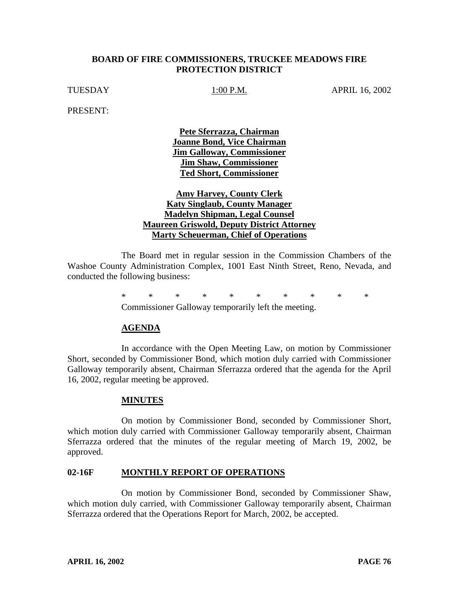### **BOARD OF FIRE COMMISSIONERS, TRUCKEE MEADOWS FIRE PROTECTION DISTRICT**

TUESDAY 1:00 P.M. APRIL 16, 2002

PRESENT:

**Pete Sferrazza, Chairman Joanne Bond, Vice Chairman Jim Galloway, Commissioner Jim Shaw, Commissioner Ted Short, Commissioner**

## **Amy Harvey, County Clerk Katy Singlaub, County Manager Madelyn Shipman, Legal Counsel Maureen Griswold, Deputy District Attorney Marty Scheuerman, Chief of Operations**

The Board met in regular session in the Commission Chambers of the Washoe County Administration Complex, 1001 East Ninth Street, Reno, Nevada, and conducted the following business:

> \*\*\*\*\*\*\*\*\*\* Commissioner Galloway temporarily left the meeting.

### **AGENDA**

In accordance with the Open Meeting Law, on motion by Commissioner Short, seconded by Commissioner Bond, which motion duly carried with Commissioner Galloway temporarily absent, Chairman Sferrazza ordered that the agenda for the April 16, 2002, regular meeting be approved.

#### **MINUTES**

On motion by Commissioner Bond, seconded by Commissioner Short, which motion duly carried with Commissioner Galloway temporarily absent, Chairman Sferrazza ordered that the minutes of the regular meeting of March 19, 2002, be approved.

#### **02-16F MONTHLY REPORT OF OPERATIONS**

On motion by Commissioner Bond, seconded by Commissioner Shaw, which motion duly carried, with Commissioner Galloway temporarily absent, Chairman Sferrazza ordered that the Operations Report for March, 2002, be accepted.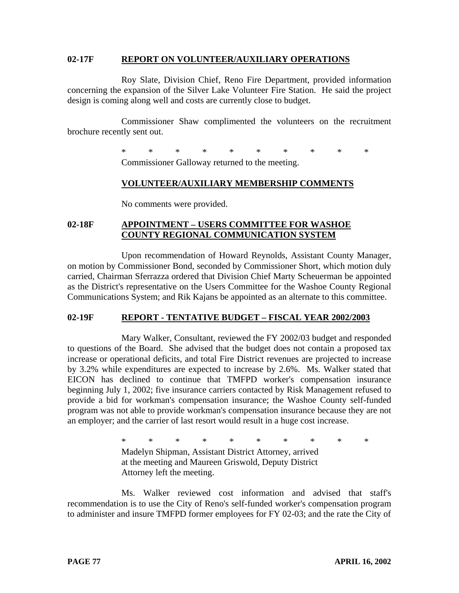#### **02-17F REPORT ON VOLUNTEER/AUXILIARY OPERATIONS**

Roy Slate, Division Chief, Reno Fire Department, provided information concerning the expansion of the Silver Lake Volunteer Fire Station. He said the project design is coming along well and costs are currently close to budget.

Commissioner Shaw complimented the volunteers on the recruitment brochure recently sent out.

\*\*\*\*\*\*\*\*\*\*\*\*

Commissioner Galloway returned to the meeting.

## **VOLUNTEER/AUXILIARY MEMBERSHIP COMMENTS**

No comments were provided.

## **02-18F APPOINTMENT – USERS COMMITTEE FOR WASHOE COUNTY REGIONAL COMMUNICATION SYSTEM**

Upon recommendation of Howard Reynolds, Assistant County Manager, on motion by Commissioner Bond, seconded by Commissioner Short, which motion duly carried, Chairman Sferrazza ordered that Division Chief Marty Scheuerman be appointed as the District's representative on the Users Committee for the Washoe County Regional Communications System; and Rik Kajans be appointed as an alternate to this committee.

# **02-19F REPORT - TENTATIVE BUDGET – FISCAL YEAR 2002/2003**

Mary Walker, Consultant, reviewed the FY 2002/03 budget and responded to questions of the Board. She advised that the budget does not contain a proposed tax increase or operational deficits, and total Fire District revenues are projected to increase by 3.2% while expenditures are expected to increase by 2.6%. Ms. Walker stated that EICON has declined to continue that TMFPD worker's compensation insurance beginning July 1, 2002; five insurance carriers contacted by Risk Management refused to provide a bid for workman's compensation insurance; the Washoe County self-funded program was not able to provide workman's compensation insurance because they are not an employer; and the carrier of last resort would result in a huge cost increase.

> \*\*\*\*\*\*\*\*\*\* Madelyn Shipman, Assistant District Attorney, arrived at the meeting and Maureen Griswold, Deputy District Attorney left the meeting.

Ms. Walker reviewed cost information and advised that staff's recommendation is to use the City of Reno's self-funded worker's compensation program to administer and insure TMFPD former employees for FY 02-03; and the rate the City of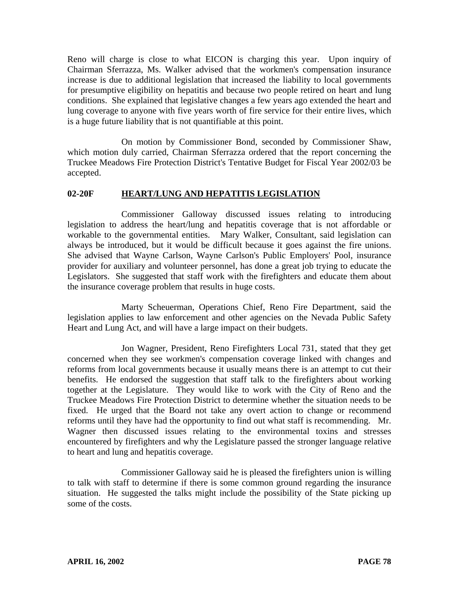Reno will charge is close to what EICON is charging this year. Upon inquiry of Chairman Sferrazza, Ms. Walker advised that the workmen's compensation insurance increase is due to additional legislation that increased the liability to local governments for presumptive eligibility on hepatitis and because two people retired on heart and lung conditions. She explained that legislative changes a few years ago extended the heart and lung coverage to anyone with five years worth of fire service for their entire lives, which is a huge future liability that is not quantifiable at this point.

On motion by Commissioner Bond, seconded by Commissioner Shaw, which motion duly carried, Chairman Sferrazza ordered that the report concerning the Truckee Meadows Fire Protection District's Tentative Budget for Fiscal Year 2002/03 be accepted.

### **02-20F HEART/LUNG AND HEPATITIS LEGISLATION**

Commissioner Galloway discussed issues relating to introducing legislation to address the heart/lung and hepatitis coverage that is not affordable or workable to the governmental entities. Mary Walker, Consultant, said legislation can always be introduced, but it would be difficult because it goes against the fire unions. She advised that Wayne Carlson, Wayne Carlson's Public Employers' Pool, insurance provider for auxiliary and volunteer personnel, has done a great job trying to educate the Legislators. She suggested that staff work with the firefighters and educate them about the insurance coverage problem that results in huge costs.

Marty Scheuerman, Operations Chief, Reno Fire Department, said the legislation applies to law enforcement and other agencies on the Nevada Public Safety Heart and Lung Act, and will have a large impact on their budgets.

Jon Wagner, President, Reno Firefighters Local 731, stated that they get concerned when they see workmen's compensation coverage linked with changes and reforms from local governments because it usually means there is an attempt to cut their benefits. He endorsed the suggestion that staff talk to the firefighters about working together at the Legislature. They would like to work with the City of Reno and the Truckee Meadows Fire Protection District to determine whether the situation needs to be fixed. He urged that the Board not take any overt action to change or recommend reforms until they have had the opportunity to find out what staff is recommending. Mr. Wagner then discussed issues relating to the environmental toxins and stresses encountered by firefighters and why the Legislature passed the stronger language relative to heart and lung and hepatitis coverage.

Commissioner Galloway said he is pleased the firefighters union is willing to talk with staff to determine if there is some common ground regarding the insurance situation. He suggested the talks might include the possibility of the State picking up some of the costs.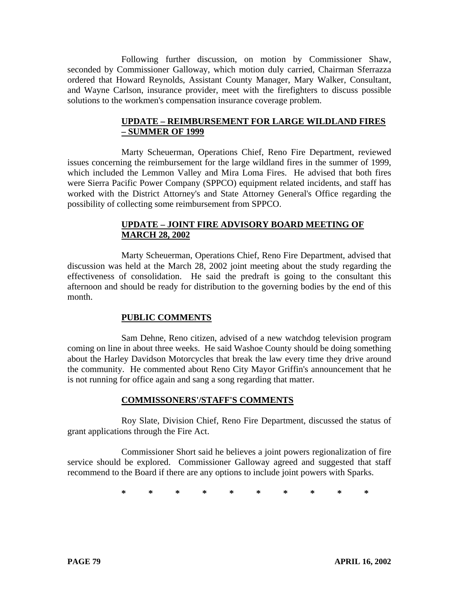Following further discussion, on motion by Commissioner Shaw, seconded by Commissioner Galloway, which motion duly carried, Chairman Sferrazza ordered that Howard Reynolds, Assistant County Manager, Mary Walker, Consultant, and Wayne Carlson, insurance provider, meet with the firefighters to discuss possible solutions to the workmen's compensation insurance coverage problem.

## **UPDATE – REIMBURSEMENT FOR LARGE WILDLAND FIRES – SUMMER OF 1999**

Marty Scheuerman, Operations Chief, Reno Fire Department, reviewed issues concerning the reimbursement for the large wildland fires in the summer of 1999, which included the Lemmon Valley and Mira Loma Fires. He advised that both fires were Sierra Pacific Power Company (SPPCO) equipment related incidents, and staff has worked with the District Attorney's and State Attorney General's Office regarding the possibility of collecting some reimbursement from SPPCO.

# **UPDATE – JOINT FIRE ADVISORY BOARD MEETING OF MARCH 28, 2002**

Marty Scheuerman, Operations Chief, Reno Fire Department, advised that discussion was held at the March 28, 2002 joint meeting about the study regarding the effectiveness of consolidation. He said the predraft is going to the consultant this afternoon and should be ready for distribution to the governing bodies by the end of this month.

# **PUBLIC COMMENTS**

Sam Dehne, Reno citizen, advised of a new watchdog television program coming on line in about three weeks. He said Washoe County should be doing something about the Harley Davidson Motorcycles that break the law every time they drive around the community. He commented about Reno City Mayor Griffin's announcement that he is not running for office again and sang a song regarding that matter.

### **COMMISSONERS'/STAFF'S COMMENTS**

Roy Slate, Division Chief, Reno Fire Department, discussed the status of grant applications through the Fire Act.

Commissioner Short said he believes a joint powers regionalization of fire service should be explored. Commissioner Galloway agreed and suggested that staff recommend to the Board if there are any options to include joint powers with Sparks.

\*\*\*\*\*\*\*\*\*\*\*\*